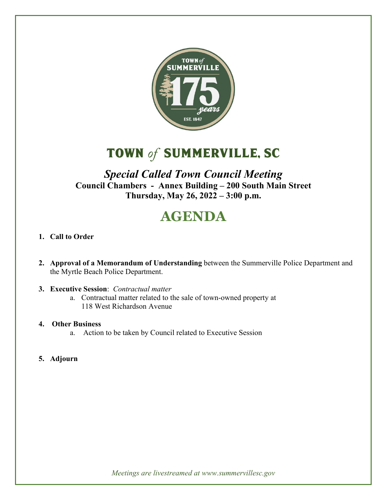

## TOWN *of* SUMMERVILLE, sc

## *Special Called Town Council Meeting* **Council Chambers - Annex Building – 200 South Main Street Thursday, May 26, 2022 – 3:00 p.m.**

# **AGENDA**

- **1. Call to Order**
- **2. Approval of a Memorandum of Understanding** between the Summerville Police Department and the Myrtle Beach Police Department.
- **3. Executive Session**: *Contractual matter*
	- a. Contractual matter related to the sale of town-owned property at 118 West Richardson Avenue
- **4. Other Business**
	- a. Action to be taken by Council related to Executive Session
- **5. Adjourn**

*Meetings are livestreamed at www.summervillesc.gov*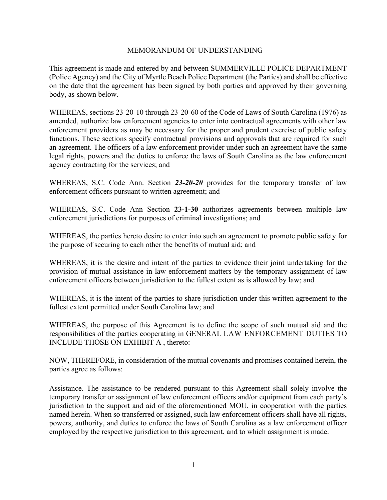#### MEMORANDUM OF UNDERSTANDING

This agreement is made and entered by and between SUMMERVILLE POLICE DEPARTMENT (Police Agency) and the City of Myrtle Beach Police Department (the Parties) and shall be effective on the date that the agreement has been signed by both parties and approved by their governing body, as shown below.

WHEREAS, sections 23-20-10 through 23-20-60 of the Code of Laws of South Carolina (1976) as amended, authorize law enforcement agencies to enter into contractual agreements with other law enforcement providers as may be necessary for the proper and prudent exercise of public safety functions. These sections specify contractual provisions and approvals that are required for such an agreement. The officers of a law enforcement provider under such an agreement have the same legal rights, powers and the duties to enforce the laws of South Carolina as the law enforcement agency contracting for the services; and

WHEREAS, S.C. Code Ann. Section *23-20-20* provides for the temporary transfer of law enforcement officers pursuant to written agreement; and

WHEREAS, S.C. Code Ann Section **23-1-30** authorizes agreements between multiple law enforcement jurisdictions for purposes of criminal investigations; and

WHEREAS, the parties hereto desire to enter into such an agreement to promote public safety for the purpose of securing to each other the benefits of mutual aid; and

WHEREAS, it is the desire and intent of the parties to evidence their joint undertaking for the provision of mutual assistance in law enforcement matters by the temporary assignment of law enforcement officers between jurisdiction to the fullest extent as is allowed by law; and

WHEREAS, it is the intent of the parties to share jurisdiction under this written agreement to the fullest extent permitted under South Carolina law; and

WHEREAS, the purpose of this Agreement is to define the scope of such mutual aid and the responsibilities of the parties cooperating in GENERAL LAW ENFORCEMENT DUTIES TO INCLUDE THOSE ON EXHIBIT A , thereto:

NOW, THEREFORE, in consideration of the mutual covenants and promises contained herein, the parties agree as follows:

Assistance. The assistance to be rendered pursuant to this Agreement shall solely involve the temporary transfer or assignment of law enforcement officers and/or equipment from each party's jurisdiction to the support and aid of the aforementioned MOU, in cooperation with the parties named herein. When so transferred or assigned, such law enforcement officers shall have all rights, powers, authority, and duties to enforce the laws of South Carolina as a law enforcement officer employed by the respective jurisdiction to this agreement, and to which assignment is made.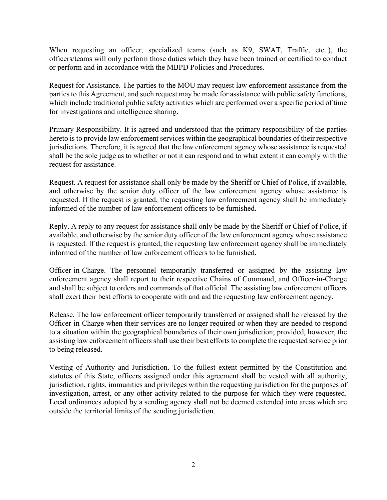When requesting an officer, specialized teams (such as K9, SWAT, Traffic, etc..), the officers/teams will only perform those duties which they have been trained or certified to conduct or perform and in accordance with the MBPD Policies and Procedures.

Request for Assistance. The parties to the MOU may request law enforcement assistance from the parties to this Agreement, and such request may be made for assistance with public safety functions, which include traditional public safety activities which are performed over a specific period of time for investigations and intelligence sharing.

Primary Responsibility. It is agreed and understood that the primary responsibility of the parties hereto is to provide law enforcement services within the geographical boundaries of their respective jurisdictions. Therefore, it is agreed that the law enforcement agency whose assistance is requested shall be the sole judge as to whether or not it can respond and to what extent it can comply with the request for assistance.

Request. A request for assistance shall only be made by the Sheriff or Chief of Police, if available, and otherwise by the senior duty officer of the law enforcement agency whose assistance is requested. If the request is granted, the requesting law enforcement agency shall be immediately informed of the number of law enforcement officers to be furnished.

Reply. A reply to any request for assistance shall only be made by the Sheriff or Chief of Police, if available, and otherwise by the senior duty officer of the law enforcement agency whose assistance is requested. If the request is granted, the requesting law enforcement agency shall be immediately informed of the number of law enforcement officers to be furnished.

Officer-in-Charge. The personnel temporarily transferred or assigned by the assisting law enforcement agency shall report to their respective Chains of Command, and Officer‐in‐Charge and shall be subject to orders and commands of that official. The assisting law enforcement officers shall exert their best efforts to cooperate with and aid the requesting law enforcement agency.

Release. The law enforcement officer temporarily transferred or assigned shall be released by the Officer-in-Charge when their services are no longer required or when they are needed to respond to a situation within the geographical boundaries of their own jurisdiction; provided, however, the assisting law enforcement officers shall use their best efforts to complete the requested service prior to being released.

Vesting of Authority and Jurisdiction. To the fullest extent permitted by the Constitution and statutes of this State, officers assigned under this agreement shall be vested with all authority, jurisdiction, rights, immunities and privileges within the requesting jurisdiction for the purposes of investigation, arrest, or any other activity related to the purpose for which they were requested. Local ordinances adopted by a sending agency shall not be deemed extended into areas which are outside the territorial limits of the sending jurisdiction.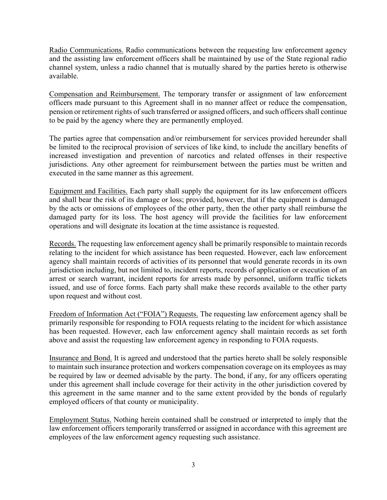Radio Communications. Radio communications between the requesting law enforcement agency and the assisting law enforcement officers shall be maintained by use of the State regional radio channel system, unless a radio channel that is mutually shared by the parties hereto is otherwise available.

Compensation and Reimbursement. The temporary transfer or assignment of law enforcement officers made pursuant to this Agreement shall in no manner affect or reduce the compensation, pension or retirement rights of such transferred or assigned officers, and such officers shall continue to be paid by the agency where they are permanently employed.

The parties agree that compensation and/or reimbursement for services provided hereunder shall be limited to the reciprocal provision of services of like kind, to include the ancillary benefits of increased investigation and prevention of narcotics and related offenses in their respective jurisdictions. Any other agreement for reimbursement between the parties must be written and executed in the same manner as this agreement.

Equipment and Facilities. Each party shall supply the equipment for its law enforcement officers and shall bear the risk of its damage or loss; provided, however, that if the equipment is damaged by the acts or omissions of employees of the other party, then the other party shall reimburse the damaged party for its loss. The host agency will provide the facilities for law enforcement operations and will designate its location at the time assistance is requested.

Records. The requesting law enforcement agency shall be primarily responsible to maintain records relating to the incident for which assistance has been requested. However, each law enforcement agency shall maintain records of activities of its personnel that would generate records in its own jurisdiction including, but not limited to, incident reports, records of application or execution of an arrest or search warrant, incident reports for arrests made by personnel, uniform traffic tickets issued, and use of force forms. Each party shall make these records available to the other party upon request and without cost.

Freedom of Information Act ("FOIA") Requests. The requesting law enforcement agency shall be primarily responsible for responding to FOIA requests relating to the incident for which assistance has been requested. However, each law enforcement agency shall maintain records as set forth above and assist the requesting law enforcement agency in responding to FOIA requests.

Insurance and Bond. It is agreed and understood that the parties hereto shall be solely responsible to maintain such insurance protection and workers compensation coverage on its employees as may be required by law or deemed advisable by the party. The bond, if any, for any officers operating under this agreement shall include coverage for their activity in the other jurisdiction covered by this agreement in the same manner and to the same extent provided by the bonds of regularly employed officers of that county or municipality.

Employment Status. Nothing herein contained shall be construed or interpreted to imply that the law enforcement officers temporarily transferred or assigned in accordance with this agreement are employees of the law enforcement agency requesting such assistance.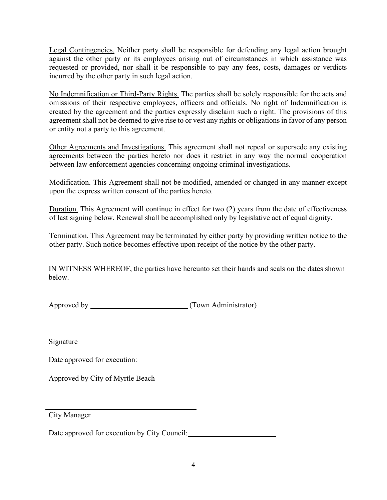Legal Contingencies. Neither party shall be responsible for defending any legal action brought against the other party or its employees arising out of circumstances in which assistance was requested or provided, nor shall it be responsible to pay any fees, costs, damages or verdicts incurred by the other party in such legal action.

No Indemnification or Third‐Party Rights. The parties shall be solely responsible for the acts and omissions of their respective employees, officers and officials. No right of Indemnification is created by the agreement and the parties expressly disclaim such a right. The provisions of this agreement shall not be deemed to give rise to or vest any rights or obligations in favor of any person or entity not a party to this agreement.

Other Agreements and Investigations. This agreement shall not repeal or supersede any existing agreements between the parties hereto nor does it restrict in any way the normal cooperation between law enforcement agencies concerning ongoing criminal investigations.

Modification. This Agreement shall not be modified, amended or changed in any manner except upon the express written consent of the parties hereto.

Duration. This Agreement will continue in effect for two (2) years from the date of effectiveness of last signing below. Renewal shall be accomplished only by legislative act of equal dignity.

Termination. This Agreement may be terminated by either party by providing written notice to the other party. Such notice becomes effective upon receipt of the notice by the other party.

IN WITNESS WHEREOF, the parties have hereunto set their hands and seals on the dates shown below.

Approved by (Town Administrator)

Signature

Date approved for execution:

Approved by City of Myrtle Beach

City Manager

Date approved for execution by City Council: